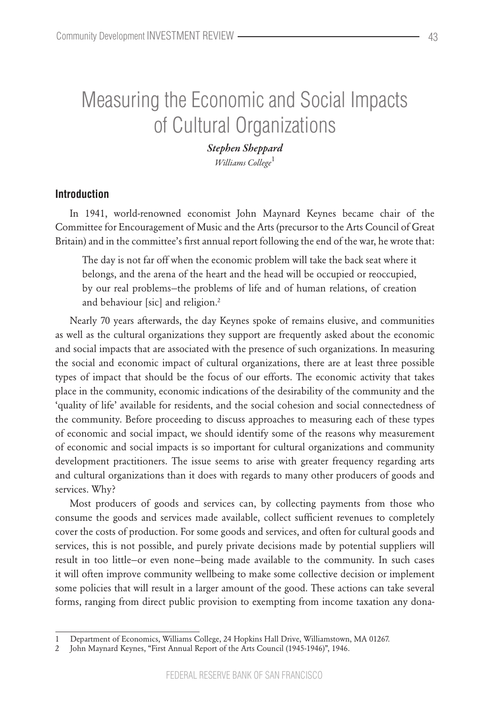# Measuring the Economic and Social Impacts of Cultural Organizations

*Stephen Sheppard Williams College*<sup>1</sup>

## **Introduction**

In 1941, world-renowned economist John Maynard Keynes became chair of the Committee for Encouragement of Music and the Arts (precursor to the Arts Council of Great Britain) and in the committee's first annual report following the end of the war, he wrote that:

The day is not far off when the economic problem will take the back seat where it belongs, and the arena of the heart and the head will be occupied or reoccupied, by our real problems—the problems of life and of human relations, of creation and behaviour [sic] and religion.<sup>2</sup>

Nearly 70 years afterwards, the day Keynes spoke of remains elusive, and communities as well as the cultural organizations they support are frequently asked about the economic and social impacts that are associated with the presence of such organizations. In measuring the social and economic impact of cultural organizations, there are at least three possible types of impact that should be the focus of our efforts. The economic activity that takes place in the community, economic indications of the desirability of the community and the 'quality of life' available for residents, and the social cohesion and social connectedness of the community. Before proceeding to discuss approaches to measuring each of these types of economic and social impact, we should identify some of the reasons why measurement of economic and social impacts is so important for cultural organizations and community development practitioners. The issue seems to arise with greater frequency regarding arts and cultural organizations than it does with regards to many other producers of goods and services. Why?

Most producers of goods and services can, by collecting payments from those who consume the goods and services made available, collect sufficient revenues to completely cover the costs of production. For some goods and services, and often for cultural goods and services, this is not possible, and purely private decisions made by potential suppliers will result in too little—or even none—being made available to the community. In such cases it will often improve community wellbeing to make some collective decision or implement some policies that will result in a larger amount of the good. These actions can take several forms, ranging from direct public provision to exempting from income taxation any dona-

<sup>1</sup> Department of Economics, Williams College, 24 Hopkins Hall Drive, Williamstown, MA 01267.

<sup>2</sup> John Maynard Keynes, "First Annual Report of the Arts Council (1945-1946)", 1946.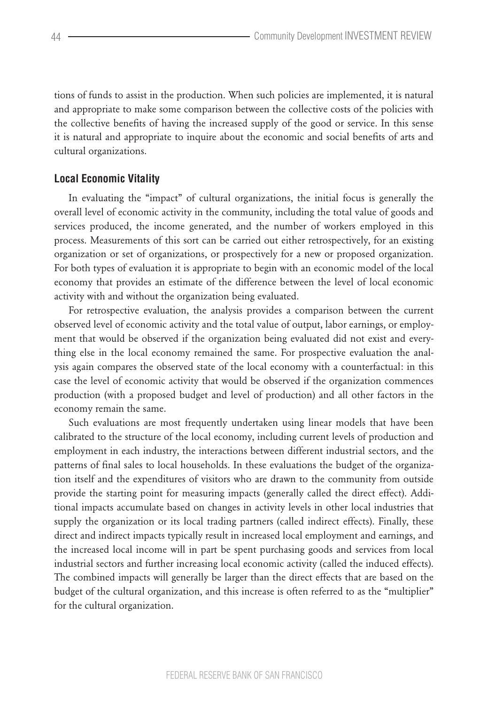tions of funds to assist in the production. When such policies are implemented, it is natural and appropriate to make some comparison between the collective costs of the policies with the collective benefits of having the increased supply of the good or service. In this sense it is natural and appropriate to inquire about the economic and social benefits of arts and cultural organizations.

### **Local Economic Vitality**

In evaluating the "impact" of cultural organizations, the initial focus is generally the overall level of economic activity in the community, including the total value of goods and services produced, the income generated, and the number of workers employed in this process. Measurements of this sort can be carried out either retrospectively, for an existing organization or set of organizations, or prospectively for a new or proposed organization. For both types of evaluation it is appropriate to begin with an economic model of the local economy that provides an estimate of the difference between the level of local economic activity with and without the organization being evaluated.

For retrospective evaluation, the analysis provides a comparison between the current observed level of economic activity and the total value of output, labor earnings, or employment that would be observed if the organization being evaluated did not exist and everything else in the local economy remained the same. For prospective evaluation the analysis again compares the observed state of the local economy with a counterfactual: in this case the level of economic activity that would be observed if the organization commences production (with a proposed budget and level of production) and all other factors in the economy remain the same.

Such evaluations are most frequently undertaken using linear models that have been calibrated to the structure of the local economy, including current levels of production and employment in each industry, the interactions between different industrial sectors, and the patterns of final sales to local households. In these evaluations the budget of the organization itself and the expenditures of visitors who are drawn to the community from outside provide the starting point for measuring impacts (generally called the direct effect). Additional impacts accumulate based on changes in activity levels in other local industries that supply the organization or its local trading partners (called indirect effects). Finally, these direct and indirect impacts typically result in increased local employment and earnings, and the increased local income will in part be spent purchasing goods and services from local industrial sectors and further increasing local economic activity (called the induced effects). The combined impacts will generally be larger than the direct effects that are based on the budget of the cultural organization, and this increase is often referred to as the "multiplier" for the cultural organization.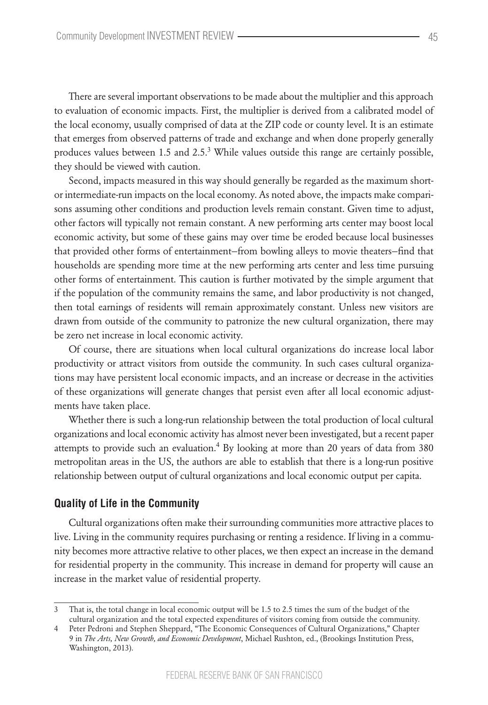There are several important observations to be made about the multiplier and this approach to evaluation of economic impacts. First, the multiplier is derived from a calibrated model of the local economy, usually comprised of data at the ZIP code or county level. It is an estimate that emerges from observed patterns of trade and exchange and when done properly generally produces values between 1.5 and 2.5.<sup>3</sup> While values outside this range are certainly possible, they should be viewed with caution.

Second, impacts measured in this way should generally be regarded as the maximum shortor intermediate-run impacts on the local economy. As noted above, the impacts make comparisons assuming other conditions and production levels remain constant. Given time to adjust, other factors will typically not remain constant. A new performing arts center may boost local economic activity, but some of these gains may over time be eroded because local businesses that provided other forms of entertainment—from bowling alleys to movie theaters—find that households are spending more time at the new performing arts center and less time pursuing other forms of entertainment. This caution is further motivated by the simple argument that if the population of the community remains the same, and labor productivity is not changed, then total earnings of residents will remain approximately constant. Unless new visitors are drawn from outside of the community to patronize the new cultural organization, there may be zero net increase in local economic activity.

Of course, there are situations when local cultural organizations do increase local labor productivity or attract visitors from outside the community. In such cases cultural organizations may have persistent local economic impacts, and an increase or decrease in the activities of these organizations will generate changes that persist even after all local economic adjustments have taken place.

Whether there is such a long-run relationship between the total production of local cultural organizations and local economic activity has almost never been investigated, but a recent paper attempts to provide such an evaluation.<sup>4</sup> By looking at more than 20 years of data from 380 metropolitan areas in the US, the authors are able to establish that there is a long-run positive relationship between output of cultural organizations and local economic output per capita.

#### **Quality of Life in the Community**

Cultural organizations often make their surrounding communities more attractive places to live. Living in the community requires purchasing or renting a residence. If living in a community becomes more attractive relative to other places, we then expect an increase in the demand for residential property in the community. This increase in demand for property will cause an increase in the market value of residential property.

<sup>3</sup> That is, the total change in local economic output will be 1.5 to 2.5 times the sum of the budget of the cultural organization and the total expected expenditures of visitors coming from outside the community.

<sup>4</sup> Peter Pedroni and Stephen Sheppard, "The Economic Consequences of Cultural Organizations," Chapter 9 in *The Arts, New Growth, and Economic Development*, Michael Rushton, ed., (Brookings Institution Press, Washington, 2013).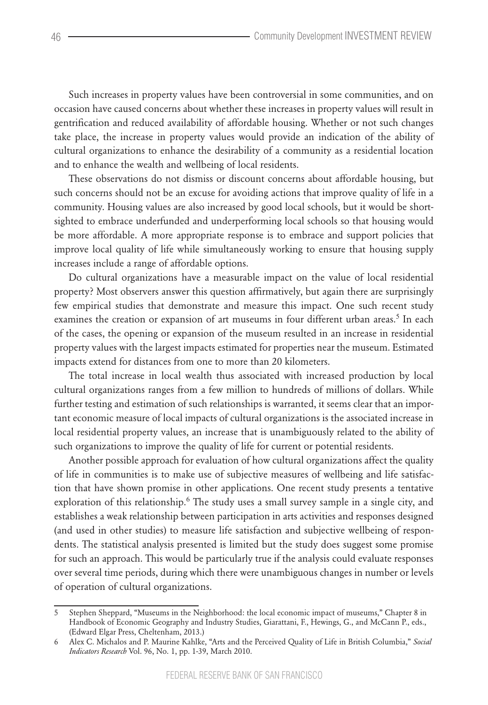Such increases in property values have been controversial in some communities, and on occasion have caused concerns about whether these increases in property values will result in gentrification and reduced availability of affordable housing. Whether or not such changes take place, the increase in property values would provide an indication of the ability of cultural organizations to enhance the desirability of a community as a residential location and to enhance the wealth and wellbeing of local residents.

These observations do not dismiss or discount concerns about affordable housing, but such concerns should not be an excuse for avoiding actions that improve quality of life in a community. Housing values are also increased by good local schools, but it would be shortsighted to embrace underfunded and underperforming local schools so that housing would be more affordable. A more appropriate response is to embrace and support policies that improve local quality of life while simultaneously working to ensure that housing supply increases include a range of affordable options.

Do cultural organizations have a measurable impact on the value of local residential property? Most observers answer this question affirmatively, but again there are surprisingly few empirical studies that demonstrate and measure this impact. One such recent study examines the creation or expansion of art museums in four different urban areas.<sup>5</sup> In each of the cases, the opening or expansion of the museum resulted in an increase in residential property values with the largest impacts estimated for properties near the museum. Estimated impacts extend for distances from one to more than 20 kilometers.

The total increase in local wealth thus associated with increased production by local cultural organizations ranges from a few million to hundreds of millions of dollars. While further testing and estimation of such relationships is warranted, it seems clear that an important economic measure of local impacts of cultural organizations is the associated increase in local residential property values, an increase that is unambiguously related to the ability of such organizations to improve the quality of life for current or potential residents.

Another possible approach for evaluation of how cultural organizations affect the quality of life in communities is to make use of subjective measures of wellbeing and life satisfaction that have shown promise in other applications. One recent study presents a tentative exploration of this relationship.<sup>6</sup> The study uses a small survey sample in a single city, and establishes a weak relationship between participation in arts activities and responses designed (and used in other studies) to measure life satisfaction and subjective wellbeing of respondents. The statistical analysis presented is limited but the study does suggest some promise for such an approach. This would be particularly true if the analysis could evaluate responses over several time periods, during which there were unambiguous changes in number or levels of operation of cultural organizations.

<sup>5</sup> Stephen Sheppard, "Museums in the Neighborhood: the local economic impact of museums," Chapter 8 in Handbook of Economic Geography and Industry Studies, Giarattani, F., Hewings, G., and McCann P., eds., (Edward Elgar Press, Cheltenham, 2013.)

<sup>6</sup> Alex C. Michalos and P. Maurine Kahlke, "Arts and the Perceived Quality of Life in British Columbia," *Social Indicators Research* Vol. 96, No. 1, pp. 1-39, March 2010.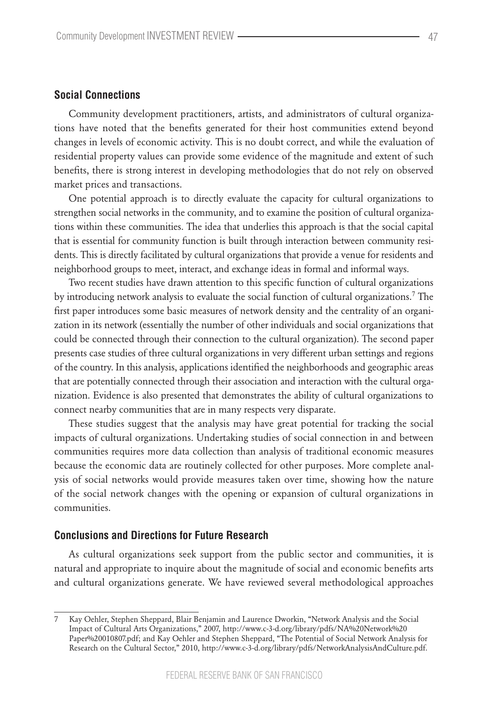#### **Social Connections**

Community development practitioners, artists, and administrators of cultural organizations have noted that the benefits generated for their host communities extend beyond changes in levels of economic activity. This is no doubt correct, and while the evaluation of residential property values can provide some evidence of the magnitude and extent of such benefits, there is strong interest in developing methodologies that do not rely on observed market prices and transactions.

One potential approach is to directly evaluate the capacity for cultural organizations to strengthen social networks in the community, and to examine the position of cultural organizations within these communities. The idea that underlies this approach is that the social capital that is essential for community function is built through interaction between community residents. This is directly facilitated by cultural organizations that provide a venue for residents and neighborhood groups to meet, interact, and exchange ideas in formal and informal ways.

Two recent studies have drawn attention to this specific function of cultural organizations by introducing network analysis to evaluate the social function of cultural organizations.<sup>7</sup> The first paper introduces some basic measures of network density and the centrality of an organization in its network (essentially the number of other individuals and social organizations that could be connected through their connection to the cultural organization). The second paper presents case studies of three cultural organizations in very different urban settings and regions of the country. In this analysis, applications identified the neighborhoods and geographic areas that are potentially connected through their association and interaction with the cultural organization. Evidence is also presented that demonstrates the ability of cultural organizations to connect nearby communities that are in many respects very disparate.

These studies suggest that the analysis may have great potential for tracking the social impacts of cultural organizations. Undertaking studies of social connection in and between communities requires more data collection than analysis of traditional economic measures because the economic data are routinely collected for other purposes. More complete analysis of social networks would provide measures taken over time, showing how the nature of the social network changes with the opening or expansion of cultural organizations in communities.

#### **Conclusions and Directions for Future Research**

As cultural organizations seek support from the public sector and communities, it is natural and appropriate to inquire about the magnitude of social and economic benefits arts and cultural organizations generate. We have reviewed several methodological approaches

<sup>7</sup> Kay Oehler, Stephen Sheppard, Blair Benjamin and Laurence Dworkin, "Network Analysis and the Social Impact of Cultural Arts Organizations," 2007, http://www.c-3-d.org/library/pdfs/NA%20Network%20 Paper%20010807.pdf; and Kay Oehler and Stephen Sheppard, "The Potential of Social Network Analysis for Research on the Cultural Sector," 2010, http://www.c-3-d.org/library/pdfs/NetworkAnalysisAndCulture.pdf.